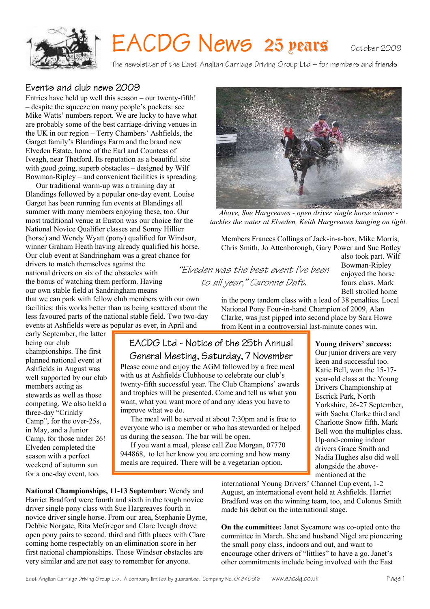

# EACDG News 25 years October 2009

The newsletter of the East Anglian Carriage Driving Group Ltd – for members and friends

# Events and club news 2009

Entries have held up well this season – our twenty-fifth! – despite the squeeze on many people's pockets: see Mike Watts' numbers report. We are lucky to have what are probably some of the best carriage-driving venues in the UK in our region – Terry Chambers' Ashfields, the Garget family's Blandings Farm and the brand new Elveden Estate, home of the Earl and Countess of Iveagh, near Thetford. Its reputation as a beautiful site with good going, superb obstacles – designed by Wilf Bowman-Ripley – and convenient facilities is spreading.

 Our traditional warm-up was a training day at Blandings followed by a popular one-day event. Louise Garget has been running fun events at Blandings all summer with many members enjoying these, too. Our most traditional venue at Euston was our choice for the National Novice Qualifier classes and Sonny Hillier (horse) and Wendy Wyatt (pony) qualified for Windsor, winner Graham Heath having already qualified his horse. Our club event at Sandringham was a great chance for

drivers to match themselves against the national drivers on six of the obstacles with the bonus of watching them perform. Having our own stable field at Sandringham means

that we can park with fellow club members with our own facilities: this works better than us being scattered about the less favoured parts of the national stable field. Two two-day events at Ashfields were as popular as ever, in April and

early September, the latter being our club championships. The first planned national event at Ashfields in August was well supported by our club members acting as stewards as well as those competing. We also held a three-day "Crinkly Camp", for the over-25s, in May, and a Junior Camp, for those under 26! Elveden completed the season with a perfect weekend of autumn sun for a one-day event, too.



*Above, Sue Hargreaves - open driver single horse winner tackles the water at Elveden, Keith Hargreaves hanging on tight.* 

Members Frances Collings of Jack-in-a-box, Mike Morris, Chris Smith, Jo Attenborough, Gary Power and Sue Botley

"Elveden was the best event I've been to all year," Caronne Daft.

also took part. Wilf Bowman-Ripley enjoyed the horse fours class. Mark Bell strolled home

in the pony tandem class with a lead of 38 penalties. Local National Pony Four-in-hand Champion of 2009, Alan Clarke, was just pipped into second place by Sara Howe from Kent in a controversial last-minute cones win.

# EACDG Ltd - Notice of the 25th Annual General Meeting, Saturday, 7 November

Please come and enjoy the AGM followed by a free meal with us at Ashfields Clubhouse to celebrate our club's twenty-fifth successful year. The Club Champions' awards and trophies will be presented. Come and tell us what you want, what you want more of and any ideas you have to improve what we do.

 The meal will be served at about 7:30pm and is free to everyone who is a member or who has stewarded or helped us during the season. The bar will be open.

 If you want a meal, please call Zoe Morgan, 07770 944868, to let her know you are coming and how many meals are required. There will be a vegetarian option.

**Young drivers' success:** 

Our junior drivers are very keen and successful too. Katie Bell, won the 15-17 year-old class at the Young Drivers Championship at Escrick Park, North Yorkshire, 26-27 September, with Sacha Clarke third and Charlotte Snow fifth. Mark Bell won the multiples class. Up-and-coming indoor drivers Grace Smith and Nadia Hughes also did well alongside the abovementioned at the

**National Championships, 11-13 September:** Wendy and Harriet Bradford were fourth and sixth in the tough novice driver single pony class with Sue Hargreaves fourth in novice driver single horse. From our area, Stephanie Byrne, Debbie Norgate, Rita McGregor and Clare Iveagh drove open pony pairs to second, third and fifth places with Clare coming home respectably on an elimination score in her first national championships. Those Windsor obstacles are very similar and are not easy to remember for anyone.

international Young Drivers' Channel Cup event, 1-2 August, an international event held at Ashfields. Harriet Bradford was on the winning team, too, and Colonus Smith made his debut on the international stage.

**On the committee:** Janet Sycamore was co-opted onto the committee in March. She and husband Nigel are pioneering the small pony class, indoors and out, and want to encourage other drivers of "littlies" to have a go. Janet's other commitments include being involved with the East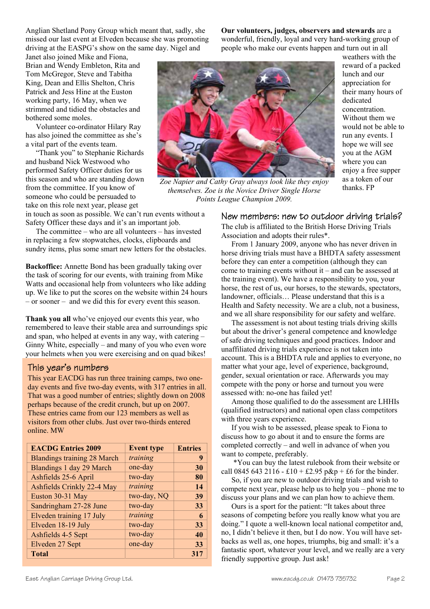Anglian Shetland Pony Group which meant that, sadly, she missed our last event at Elveden because she was promoting driving at the EASPG's show on the same day. Nigel and

Janet also joined Mike and Fiona, Brian and Wendy Embleton, Rita and Tom McGregor, Steve and Tabitha King, Dean and Ellis Shelton, Chris Patrick and Jess Hine at the Euston working party, 16 May, when we strimmed and tidied the obstacles and bothered some moles.

 Volunteer co-ordinator Hilary Ray has also joined the committee as she's a vital part of the events team.

"Thank you" to Stephanie Richards and husband Nick Westwood who performed Safety Officer duties for us this season and who are standing down from the committee. If you know of someone who could be persuaded to take on this role next year, please get

in touch as soon as possible. We can't run events without a Safety Officer these days and it's an important job.

The committee – who are all volunteers – has invested in replacing a few stopwatches, clocks, clipboards and sundry items, plus some smart new letters for the obstacles.

**Backoffice:** Annette Bond has been gradually taking over the task of scoring for our events, with training from Mike Watts and occasional help from volunteers who like adding up. We like to put the scores on the website within 24 hours – or sooner – and we did this for every event this season.

**Thank you all** who've enjoyed our events this year, who remembered to leave their stable area and surroundings spic and span, who helped at events in any way, with catering – Ginny White, especially – and many of you who even wore your helmets when you were exercising and on quad bikes!

## This year's numbers

This year EACDG has run three training camps, two oneday events and five two-day events, with 317 entries in all. That was a good number of entries; slightly down on 2008 perhaps because of the credit crunch, but up on 2007. These entries came from our 123 members as well as visitors from other clubs. Just over two-thirds entered online. MW

| <b>EACDG Entries 2009</b>          | <b>Event type</b> | <b>Entries</b> |
|------------------------------------|-------------------|----------------|
| <b>Blandings training 28 March</b> | training          | 9              |
| Blandings 1 day 29 March           | one-day           | 30             |
| Ashfields 25-6 April               | two-day           | 80             |
| <b>Ashfields Crinkly 22-4 May</b>  | training          | 14             |
| Euston 30-31 May                   | two-day, NQ       | 39             |
| Sandringham 27-28 June             | two-day           | 33             |
| Elveden training 17 July           | training          | 6              |
| Elveden 18-19 July                 | two-day           | 33             |
| Ashfields 4-5 Sept                 | two-day           | 40             |
| Elveden 27 Sept                    | one-day           | 33             |
| <b>Total</b>                       |                   | 317            |

**Our volunteers, judges, observers and stewards** are a wonderful, friendly, loyal and very hard-working group of people who make our events happen and turn out in all

> weathers with the reward of a packed lunch and our appreciation for their many hours of

dedicated concentration. Without them we would not be able to run any events. I hope we will see you at the AGM where you can enjoy a free supper as a token of our thanks. FP



*Zoe Napier and Cathy Gray always look like they enjoy themselves. Zoe is the Novice Driver Single Horse Points League Champion 2009.*

New members: new to outdoor driving trials?

The club is affiliated to the British Horse Driving Trials Association and adopts their rules\*.

From 1 January 2009, anyone who has never driven in horse driving trials must have a BHDTA safety assessment before they can enter a competition (although they can come to training events without it – and can be assessed at the training event). We have a responsibility to you, your horse, the rest of us, our horses, to the stewards, spectators, landowner, officials… Please understand that this is a Health and Safety necessity. We are a club, not a business, and we all share responsibility for our safety and welfare.

The assessment is not about testing trials driving skills but about the driver's general competence and knowledge of safe driving techniques and good practices. Indoor and unaffiliated driving trials experience is not taken into account. This is a BHDTA rule and applies to everyone, no matter what your age, level of experience, background, gender, sexual orientation or race. Afterwards you may compete with the pony or horse and turnout you were assessed with: no-one has failed yet!

Among those qualified to do the assessment are LHHIs (qualified instructors) and national open class competitors with three years experience.

If you wish to be assessed, please speak to Fiona to discuss how to go about it and to ensure the forms are completed correctly – and well in advance of when you want to compete, preferably.

 \*You can buy the latest rulebook from their website or call 0845 643 2116 - £10 + £2.95 p&p + £6 for the binder.

So, if you are new to outdoor driving trials and wish to compete next year, please help us to help you – phone me to discuss your plans and we can plan how to achieve them.

Ours is a sport for the patient: "It takes about three seasons of competing before you really know what you are doing." I quote a well-known local national competitor and, no, I didn't believe it then, but I do now. You will have setbacks as well as, one hopes, triumphs, big and small: it's a fantastic sport, whatever your level, and we really are a very friendly supportive group. Just ask!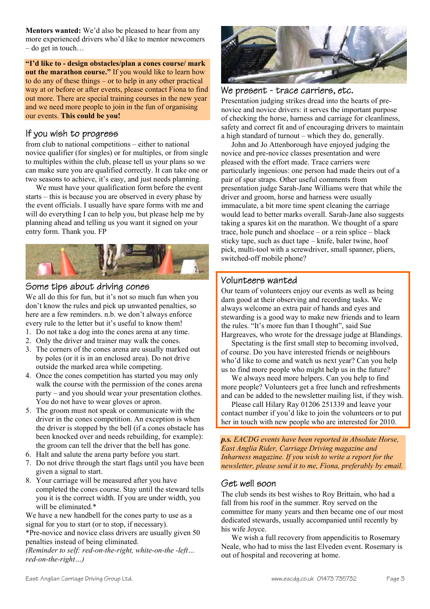**Mentors wanted:** We'd also be pleased to hear from any more experienced drivers who'd like to mentor newcomers – do get in touch…

**"I'd like to - design obstacles/plan a cones course/ mark out the marathon course."** If you would like to learn how to do any of these things – or to help in any other practical way at or before or after events, please contact Fiona to find out more. There are special training courses in the new year and we need more people to join in the fun of organising our events. **This could be you!** 

# If you wish to progress

from club to national competitions – either to national novice qualifier (for singles) or for multiples, or from single to multiples within the club, please tell us your plans so we can make sure you are qualified correctly. It can take one or two seasons to achieve, it's easy, and just needs planning.

 We must have your qualification form before the event starts – this is because you are observed in every phase by the event officials. I usually have spare forms with me and will do everything I can to help you, but please help me by planning ahead and telling us you want it signed on your entry form. Thank you. FP



#### Some tips about driving cones

We all do this for fun, but it's not so much fun when you don't know the rules and pick up unwanted penalties, so here are a few reminders. n.b. we don't always enforce every rule to the letter but it's useful to know them! 1. Do not take a dog into the cones arena at any time.

- 
- 2. Only the driver and trainer may walk the cones.
- 3. The corners of the cones arena are usually marked out by poles (or it is in an enclosed area). Do not drive outside the marked area while competing.
- 4. Once the cones competition has started you may only walk the course with the permission of the cones arena party – and you should wear your presentation clothes. You do not have to wear gloves or apron.
- 5. The groom must not speak or communicate with the driver in the cones competition. An exception is when the driver is stopped by the bell (if a cones obstacle has been knocked over and needs rebuilding, for example): the groom can tell the driver that the bell has gone.
- 6. Halt and salute the arena party before you start.
- 7. Do not drive through the start flags until you have been given a signal to start.
- 8. Your carriage will be measured after you have completed the cones course. Stay until the steward tells you it is the correct width. If you are under width, you will be eliminated.\*

We have a new handbell for the cones party to use as a signal for you to start (or to stop, if necessary).

\*Pre-novice and novice class drivers are usually given 50 penalties instead of being eliminated.

*(Reminder to self: red-on-the-right, white-on-the -left… red-on-the-right…)* 



#### We present - trace carriers, etc.

Presentation judging strikes dread into the hearts of prenovice and novice drivers: it serves the important purpose of checking the horse, harness and carriage for cleanliness, safety and correct fit and of encouraging drivers to maintain a high standard of turnout – which they do, generally.

 John and Jo Attenborough have enjoyed judging the novice and pre-novice classes presentation and were pleased with the effort made. Trace carriers were particularly ingenious: one person had made theirs out of a pair of spur straps. Other useful comments from presentation judge Sarah-Jane Williams were that while the driver and groom, horse and harness were usually immaculate, a bit more time spent cleaning the carriage would lead to better marks overall. Sarah-Jane also suggests taking a spares kit on the marathon. We thought of a spare trace, hole punch and shoelace – or a rein splice – black sticky tape, such as duct tape – knife, baler twine, hoof pick, multi-tool with a screwdriver, small spanner, pliers, switched-off mobile phone?

## Volunteers wanted

Our team of volunteers enjoy our events as well as being darn good at their observing and recording tasks. We always welcome an extra pair of hands and eyes and stewarding is a good way to make new friends and to learn the rules. "It's more fun than I thought", said Sue Hargreaves, who wrote for the dressage judge at Blandings.

 Spectating is the first small step to becoming involved, of course. Do you have interested friends or neighbours who'd like to come and watch us next year? Can you help us to find more people who might help us in the future?

 We always need more helpers. Can you help to find more people? Volunteers get a free lunch and refreshments and can be added to the newsletter mailing list, if they wish.

 Please call Hilary Ray 01206 251339 and leave your contact number if you'd like to join the volunteers or to put her in touch with new people who are interested for 2010.

*p.s. EACDG events have been reported in Absolute Horse, East Anglia Rider, Carriage Driving magazine and Inharness magazine. If you wish to write a report for the newsletter, please send it to me, Fiona, preferably by email.* 

## Get well soon

The club sends its best wishes to Roy Brittain, who had a fall from his roof in the summer. Roy served on the committee for many years and then became one of our most dedicated stewards, usually accompanied until recently by his wife Joyce.

We wish a full recovery from appendicitis to Rosemary Neale, who had to miss the last Elveden event. Rosemary is out of hospital and recovering at home.